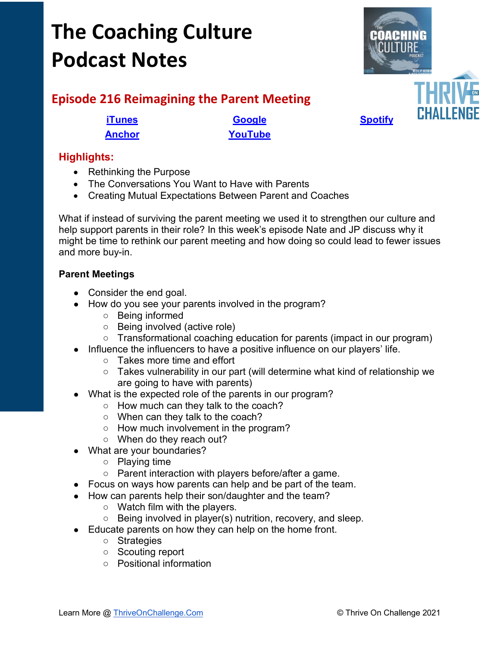# **The Coaching Culture Podcast Notes**



# **Episode 216 Reimagining the Parent Meeting**

**[Anchor](https://tinyurl.com/4yhexz6d) [YouTube](https://youtu.be/lcJ-FTnM62Y)**

## **Highlights:**

- Rethinking the Purpose
- The Conversations You Want to Have with Parents
- Creating Mutual Expectations Between Parent and Coaches

What if instead of surviving the parent meeting we used it to strengthen our culture and help support parents in their role? In this week's episode Nate and JP discuss why it might be time to rethink our parent meeting and how doing so could lead to fewer issues and more buy-in.

### **Parent Meetings**

- Consider the end goal.
- How do you see your parents involved in the program?
	- Being informed
	- Being involved (active role)
	- Transformational coaching education for parents (impact in our program)
- Influence the influencers to have a positive influence on our players' life.
	- Takes more time and effort
	- Takes vulnerability in our part (will determine what kind of relationship we are going to have with parents)
- What is the expected role of the parents in our program?
	- How much can they talk to the coach?
	- When can they talk to the coach?
	- How much involvement in the program?
	- When do they reach out?
- What are your boundaries?
	- Playing time
	- Parent interaction with players before/after a game.
- Focus on ways how parents can help and be part of the team.
- How can parents help their son/daughter and the team?
	- Watch film with the players.
	- Being involved in player(s) nutrition, recovery, and sleep.
- Educate parents on how they can help on the home front.
	- Strategies
	- Scouting report
	- Positional information